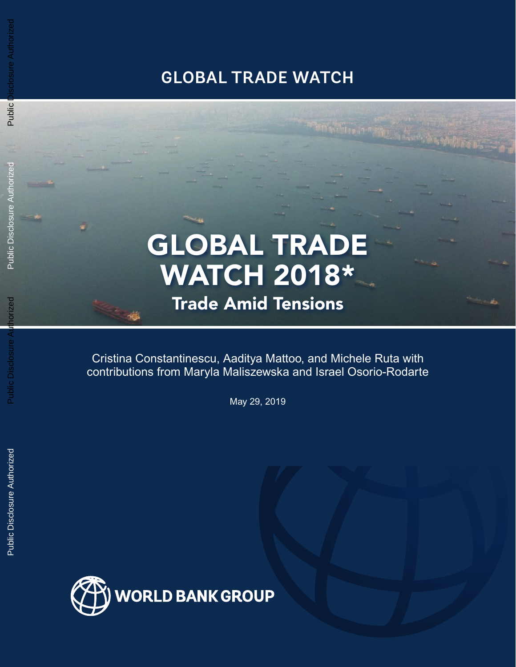## **GLOBAL TRADE WATCH**

# GLOBAL TRADE WATCH 2018\*

## Trade Amid Tensions

Cristina Constantinescu, Aaditya Mattoo, and Michele Ruta with contributions from Maryla Maliszewska and Israel Osorio-Rodarte

May 29, 2019

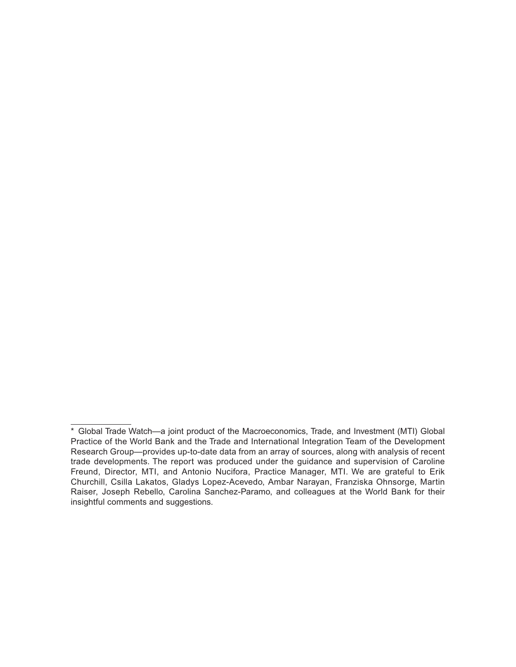<sup>\*</sup> Global Trade Watch—a joint product of the Macroeconomics, Trade, and Investment (MTI) Global Practice of the World Bank and the Trade and International Integration Team of the Development Research Group—provides up-to-date data from an array of sources, along with analysis of recent trade developments. The report was produced under the guidance and supervision of Caroline Freund, Director, MTI, and Antonio Nucifora, Practice Manager, MTI. We are grateful to Erik Churchill, Csilla Lakatos, Gladys Lopez-Acevedo, Ambar Narayan, Franziska Ohnsorge, Martin Raiser, Joseph Rebello, Carolina Sanchez-Paramo, and colleagues at the World Bank for their insightful comments and suggestions.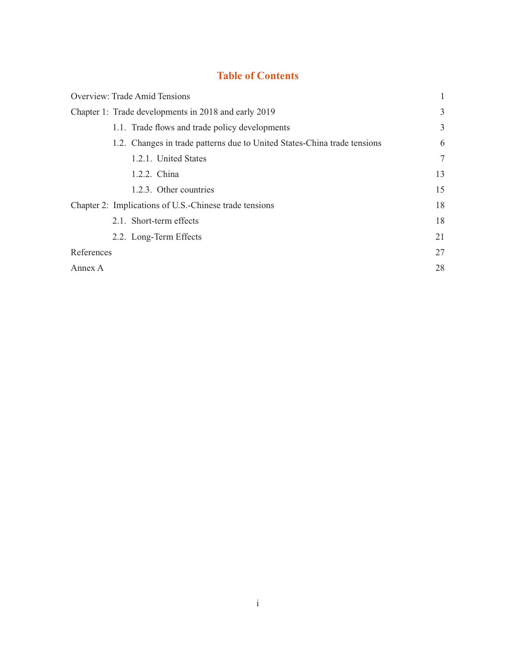### **Table of Contents**

| Overview: Trade Amid Tensions                                            |    |
|--------------------------------------------------------------------------|----|
| Chapter 1: Trade developments in 2018 and early 2019                     | 3  |
| 1.1. Trade flows and trade policy developments                           | 3  |
| 1.2. Changes in trade patterns due to United States-China trade tensions | 6  |
| 1.2.1. United States                                                     | 7  |
| 1.2.2. China                                                             | 13 |
| 1.2.3. Other countries                                                   | 15 |
| Chapter 2: Implications of U.S.-Chinese trade tensions                   | 18 |
| 2.1. Short-term effects                                                  | 18 |
| 2.2. Long-Term Effects                                                   | 21 |
| References                                                               | 27 |
| Annex A                                                                  | 28 |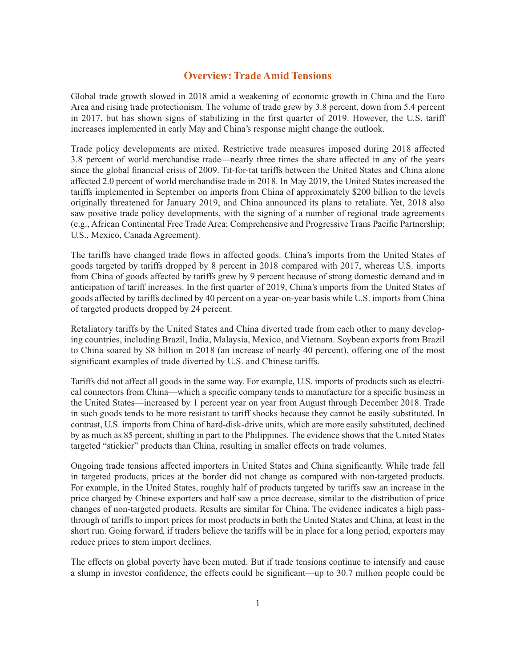#### **Overview: Trade Amid Tensions**

Global trade growth slowed in 2018 amid a weakening of economic growth in China and the Euro Area and rising trade protectionism. The volume of trade grew by 3.8 percent, down from 5.4 percent in 2017, but has shown signs of stabilizing in the first quarter of 2019. However, the U.S. tariff increases implemented in early May and China's response might change the outlook.

Trade policy developments are mixed. Restrictive trade measures imposed during 2018 affected 3.8 percent of world merchandise trade—nearly three times the share affected in any of the years since the global financial crisis of 2009. Tit-for-tat tariffs between the United States and China alone affected 2.0 percent of world merchandise trade in 2018. In May 2019, the United States increased the tariffs implemented in September on imports from China of approximately \$200 billion to the levels originally threatened for January 2019, and China announced its plans to retaliate. Yet, 2018 also saw positive trade policy developments, with the signing of a number of regional trade agreements (e.g., African Continental Free Trade Area; Comprehensive and Progressive Trans Pacific Partnership; U.S., Mexico, Canada Agreement).

The tariffs have changed trade flows in affected goods. China's imports from the United States of goods targeted by tariffs dropped by 8 percent in 2018 compared with 2017, whereas U.S. imports from China of goods affected by tariffs grew by 9 percent because of strong domestic demand and in anticipation of tariff increases. In the first quarter of 2019, China's imports from the United States of goods affected by tariffs declined by 40 percent on a year-on-year basis while U.S. imports from China of targeted products dropped by 24 percent.

Retaliatory tariffs by the United States and China diverted trade from each other to many developing countries, including Brazil, India, Malaysia, Mexico, and Vietnam. Soybean exports from Brazil to China soared by \$8 billion in 2018 (an increase of nearly 40 percent), offering one of the most significant examples of trade diverted by U.S. and Chinese tariffs.

Tariffs did not affect all goods in the same way. For example, U.S. imports of products such as electrical connectors from China—which a specific company tends to manufacture for a specific business in the United States—increased by 1 percent year on year from August through December 2018. Trade in such goods tends to be more resistant to tariff shocks because they cannot be easily substituted. In contrast, U.S. imports from China of hard-disk-drive units, which are more easily substituted, declined by as much as 85 percent, shifting in part to the Philippines. The evidence shows that the United States targeted "stickier" products than China, resulting in smaller effects on trade volumes.

Ongoing trade tensions affected importers in United States and China significantly. While trade fell in targeted products, prices at the border did not change as compared with non-targeted products. For example, in the United States, roughly half of products targeted by tariffs saw an increase in the price charged by Chinese exporters and half saw a price decrease, similar to the distribution of price changes of non-targeted products. Results are similar for China. The evidence indicates a high passthrough of tariffs to import prices for most products in both the United States and China, at least in the short run. Going forward, if traders believe the tariffs will be in place for a long period, exporters may reduce prices to stem import declines.

The effects on global poverty have been muted. But if trade tensions continue to intensify and cause a slump in investor confidence, the effects could be significant—up to 30.7 million people could be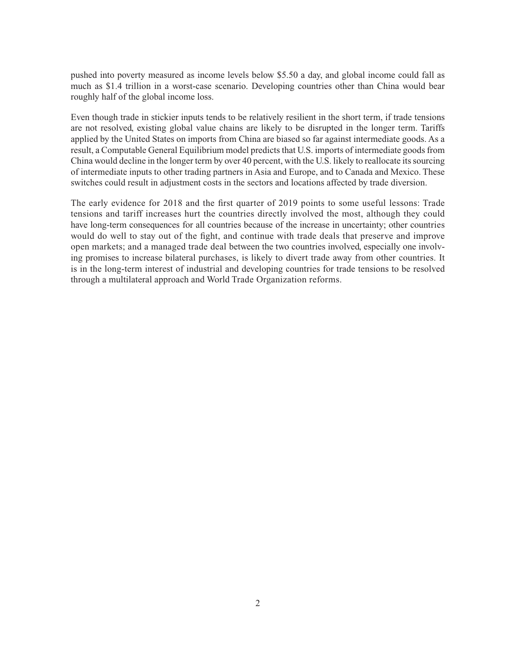pushed into poverty measured as income levels below \$5.50 a day, and global income could fall as much as \$1.4 trillion in a worst-case scenario. Developing countries other than China would bear roughly half of the global income loss.

Even though trade in stickier inputs tends to be relatively resilient in the short term, if trade tensions are not resolved, existing global value chains are likely to be disrupted in the longer term. Tariffs applied by the United States on imports from China are biased so far against intermediate goods. As a result, a Computable General Equilibrium model predicts that U.S. imports of intermediate goods from China would decline in the longer term by over 40 percent, with the U.S. likely to reallocate its sourcing of intermediate inputs to other trading partners in Asia and Europe, and to Canada and Mexico. These switches could result in adjustment costs in the sectors and locations affected by trade diversion.

The early evidence for 2018 and the first quarter of 2019 points to some useful lessons: Trade tensions and tariff increases hurt the countries directly involved the most, although they could have long-term consequences for all countries because of the increase in uncertainty; other countries would do well to stay out of the fight, and continue with trade deals that preserve and improve open markets; and a managed trade deal between the two countries involved, especially one involving promises to increase bilateral purchases, is likely to divert trade away from other countries. It is in the long-term interest of industrial and developing countries for trade tensions to be resolved through a multilateral approach and World Trade Organization reforms.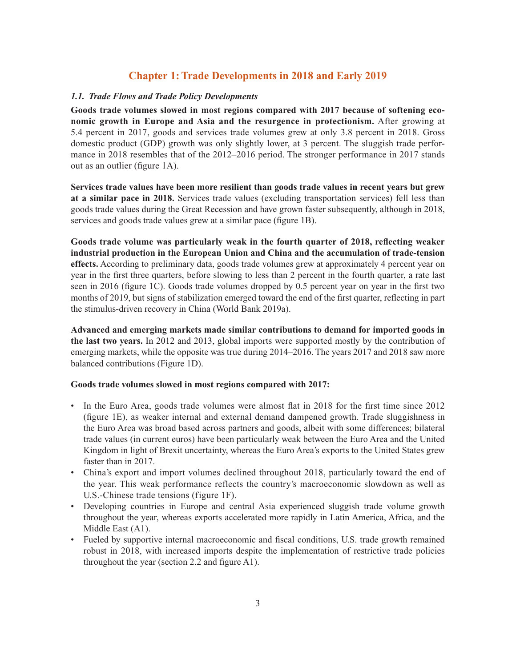#### **Chapter 1: Trade Developments in 2018 and Early 2019**

#### *1.1. Trade Flows and Trade Policy Developments*

**Goods trade volumes slowed in most regions compared with 2017 because of softening economic growth in Europe and Asia and the resurgence in protectionism.** After growing at 5.4 percent in 2017, goods and services trade volumes grew at only 3.8 percent in 2018. Gross domestic product (GDP) growth was only slightly lower, at 3 percent. The sluggish trade performance in 2018 resembles that of the 2012–2016 period. The stronger performance in 2017 stands out as an outlier (figure 1A).

**Services trade values have been more resilient than goods trade values in recent years but grew at a similar pace in 2018.** Services trade values (excluding transportation services) fell less than goods trade values during the Great Recession and have grown faster subsequently, although in 2018, services and goods trade values grew at a similar pace (figure 1B).

**Goods trade volume was particularly weak in the fourth quarter of 2018, reflecting weaker industrial production in the European Union and China and the accumulation of trade-tension effects.** According to preliminary data, goods trade volumes grew at approximately 4 percent year on year in the first three quarters, before slowing to less than 2 percent in the fourth quarter, a rate last seen in 2016 (figure 1C). Goods trade volumes dropped by 0.5 percent year on year in the first two months of 2019, but signs of stabilization emerged toward the end of the first quarter, reflecting in part the stimulus-driven recovery in China (World Bank 2019a).

**Advanced and emerging markets made similar contributions to demand for imported goods in the last two years.** In 2012 and 2013, global imports were supported mostly by the contribution of emerging markets, while the opposite was true during 2014–2016. The years 2017 and 2018 saw more balanced contributions (Figure 1D).

#### **Goods trade volumes slowed in most regions compared with 2017:**

- In the Euro Area, goods trade volumes were almost flat in 2018 for the first time since 2012 (figure 1E), as weaker internal and external demand dampened growth. Trade sluggishness in the Euro Area was broad based across partners and goods, albeit with some differences; bilateral trade values (in current euros) have been particularly weak between the Euro Area and the United Kingdom in light of Brexit uncertainty, whereas the Euro Area's exports to the United States grew faster than in 2017.
- China's export and import volumes declined throughout 2018, particularly toward the end of the year. This weak performance reflects the country's macroeconomic slowdown as well as U.S.-Chinese trade tensions (figure 1F).
- Developing countries in Europe and central Asia experienced sluggish trade volume growth throughout the year, whereas exports accelerated more rapidly in Latin America, Africa, and the Middle East (A1).
- Fueled by supportive internal macroeconomic and fiscal conditions, U.S. trade growth remained robust in 2018, with increased imports despite the implementation of restrictive trade policies throughout the year (section 2.2 and figure A1).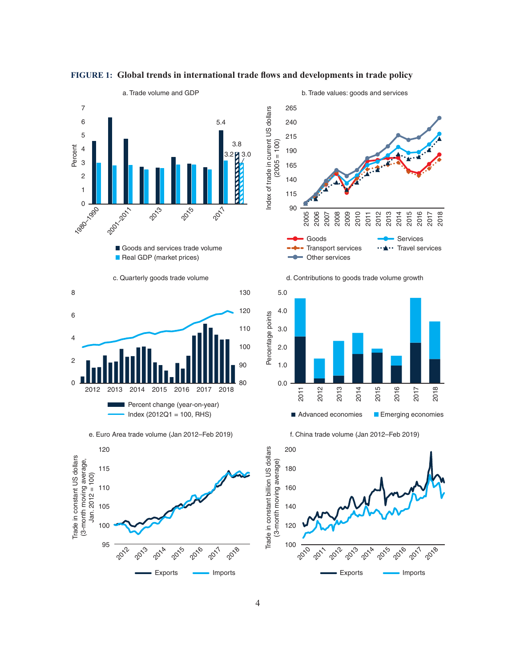

#### **FIGURE 1: Global trends in international trade flows and developments in trade policy**







e. Euro Area trade volume (Jan 2012–Feb 2019)





d. Contributions to goods trade volume growth



f. China trade volume (Jan 2012–Feb 2019)

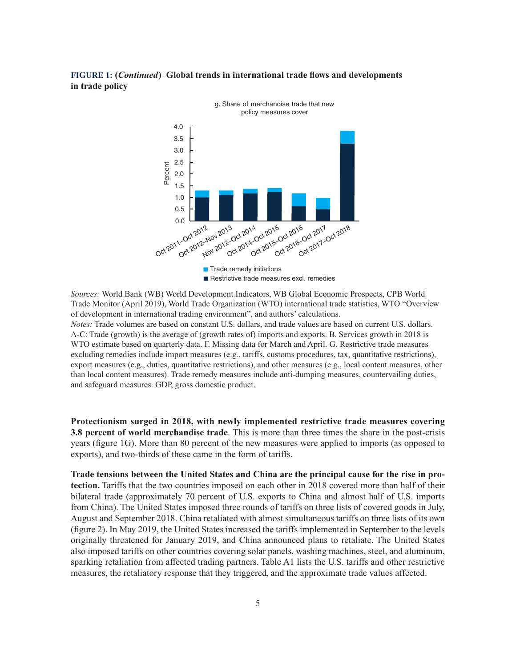#### **FIGURE 1: (***Continued***) Global trends in international trade flows and developments in trade policy**



*Sources:* World Bank (WB) World Development Indicators, WB Global Economic Prospects, CPB World Trade Monitor (April 2019), World Trade Organization (WTO) international trade statistics, WTO "Overview of development in international trading environment", and authors' calculations.

*Notes:* Trade volumes are based on constant U.S. dollars, and trade values are based on current U.S. dollars. A-C: Trade (growth) is the average of (growth rates of) imports and exports. B. Services growth in 2018 is WTO estimate based on quarterly data. F. Missing data for March and April. G. Restrictive trade measures excluding remedies include import measures (e.g., tariffs, customs procedures, tax, quantitative restrictions), export measures (e.g., duties, quantitative restrictions), and other measures (e.g., local content measures, other than local content measures). Trade remedy measures include anti-dumping measures, countervailing duties, and safeguard measures. GDP, gross domestic product.

**Protectionism surged in 2018, with newly implemented restrictive trade measures covering 3.8 percent of world merchandise trade**. This is more than three times the share in the post-crisis years (figure 1G). More than 80 percent of the new measures were applied to imports (as opposed to exports), and two-thirds of these came in the form of tariffs.

**Trade tensions between the United States and China are the principal cause for the rise in protection.** Tariffs that the two countries imposed on each other in 2018 covered more than half of their bilateral trade (approximately 70 percent of U.S. exports to China and almost half of U.S. imports from China). The United States imposed three rounds of tariffs on three lists of covered goods in July, August and September 2018. China retaliated with almost simultaneous tariffs on three lists of its own (figure 2). In May 2019, the United States increased the tariffs implemented in September to the levels originally threatened for January 2019, and China announced plans to retaliate. The United States also imposed tariffs on other countries covering solar panels, washing machines, steel, and aluminum, sparking retaliation from affected trading partners. Table A1 lists the U.S. tariffs and other restrictive measures, the retaliatory response that they triggered, and the approximate trade values affected.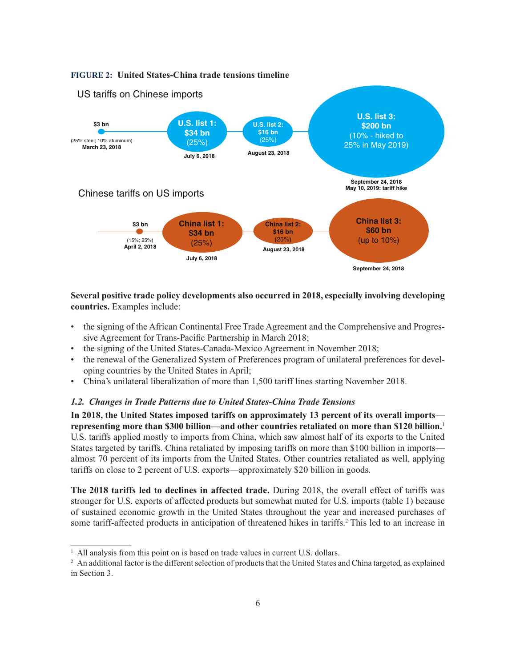

#### **Several positive trade policy developments also occurred in 2018, especially involving developing countries.** Examples include:

- the signing of the African Continental Free Trade Agreement and the Comprehensive and Progressive Agreement for Trans-Pacific Partnership in March 2018;
- the signing of the United States-Canada-Mexico Agreement in November 2018;
- the renewal of the Generalized System of Preferences program of unilateral preferences for developing countries by the United States in April;
- China's unilateral liberalization of more than 1,500 tariff lines starting November 2018.

#### *1.2. Changes in Trade Patterns due to United States-China Trade Tensions*

**In 2018, the United States imposed tariffs on approximately 13 percent of its overall imports representing more than \$300 billion—and other countries retaliated on more than \$120 billion.**<sup>1</sup> U.S. tariffs applied mostly to imports from China, which saw almost half of its exports to the United States targeted by tariffs. China retaliated by imposing tariffs on more than \$100 billion in imports almost 70 percent of its imports from the United States. Other countries retaliated as well, applying tariffs on close to 2 percent of U.S. exports—approximately \$20 billion in goods.

**The 2018 tariffs led to declines in affected trade.** During 2018, the overall effect of tariffs was stronger for U.S. exports of affected products but somewhat muted for U.S. imports (table 1) because of sustained economic growth in the United States throughout the year and increased purchases of some tariff-affected products in anticipation of threatened hikes in tariffs.<sup>2</sup> This led to an increase in

<sup>&</sup>lt;sup>1</sup> All analysis from this point on is based on trade values in current U.S. dollars.

<sup>&</sup>lt;sup>2</sup> An additional factor is the different selection of products that the United States and China targeted, as explained in Section 3.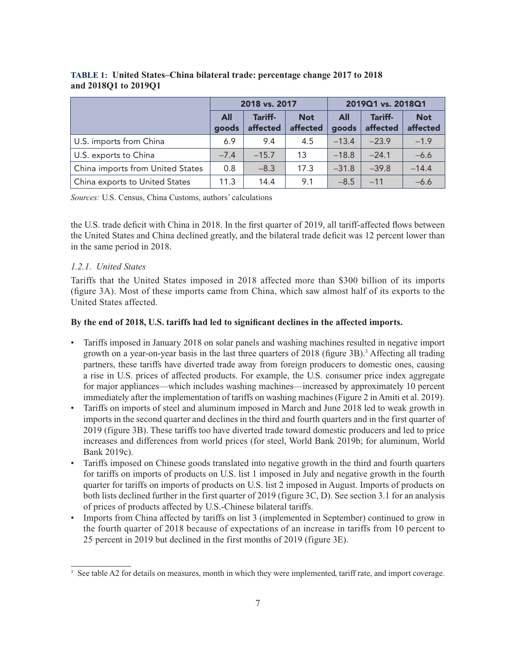|                                  | 2018 vs. 2017       |                     |                        | 2019Q1 vs. 2018Q1 |                     |                        |
|----------------------------------|---------------------|---------------------|------------------------|-------------------|---------------------|------------------------|
|                                  | <b>All</b><br>goods | Tariff-<br>affected | <b>Not</b><br>affected | All<br>goods      | Tariff-<br>affected | <b>Not</b><br>affected |
| U.S. imports from China          | 6.9                 | 9.4                 | 4.5                    | $-13.4$           | $-23.9$             | $-1.9$                 |
| U.S. exports to China            | $-7.4$              | $-15.7$             | 13                     | $-18.8$           | $-24.1$             | $-6.6$                 |
| China imports from United States | 0.8                 | $-8.3$              | 17.3                   | $-31.8$           | $-39.8$             | $-14.4$                |
| China exports to United States   | 11.3                | 14.4                | 9.1                    | $-8.5$            | $-11$               | $-6.6$                 |

#### **TABLE 1: United States–China bilateral trade: percentage change 2017 to 2018 and 2018Q1 to 2019Q1**

*Sources:* U.S. Census, China Customs, authors' calculations

the U.S. trade deficit with China in 2018. In the first quarter of 2019, all tariff-affected flows between the United States and China declined greatly, and the bilateral trade deficit was 12 percent lower than in the same period in 2018.

#### *1.2.1. United States*

Tariffs that the United States imposed in 2018 affected more than \$300 billion of its imports (figure 3A). Most of these imports came from China, which saw almost half of its exports to the United States affected.

#### **By the end of 2018, U.S. tariffs had led to significant declines in the affected imports.**

- Tariffs imposed in January 2018 on solar panels and washing machines resulted in negative import growth on a year-on-year basis in the last three quarters of 2018 (figure 3B).<sup>3</sup> Affecting all trading partners, these tariffs have diverted trade away from foreign producers to domestic ones, causing a rise in U.S. prices of affected products. For example, the U.S. consumer price index aggregate for major appliances—which includes washing machines—increased by approximately 10 percent immediately after the implementation of tariffs on washing machines (Figure 2 in Amiti et al. 2019).
- Tariffs on imports of steel and aluminum imposed in March and June 2018 led to weak growth in imports in the second quarter and declines in the third and fourth quarters and in the first quarter of 2019 (figure 3B). These tariffs too have diverted trade toward domestic producers and led to price increases and differences from world prices (for steel, World Bank 2019b; for aluminum, World Bank 2019c).
- Tariffs imposed on Chinese goods translated into negative growth in the third and fourth quarters for tariffs on imports of products on U.S. list 1 imposed in July and negative growth in the fourth quarter for tariffs on imports of products on U.S. list 2 imposed in August. Imports of products on both lists declined further in the first quarter of 2019 (figure 3C, D). See section 3.1 for an analysis of prices of products affected by U.S.-Chinese bilateral tariffs.
- Imports from China affected by tariffs on list 3 (implemented in September) continued to grow in the fourth quarter of 2018 because of expectations of an increase in tariffs from 10 percent to 25 percent in 2019 but declined in the first months of 2019 (figure 3E).

<sup>&</sup>lt;sup>3</sup> See table A2 for details on measures, month in which they were implemented, tariff rate, and import coverage.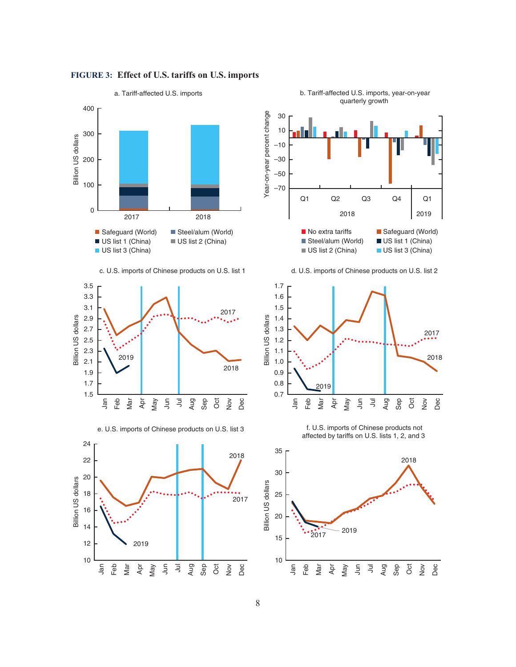

#### **FIGURE 3: Effect of U.S. tariffs on U.S. imports**

b. Tariff-affected U.S. imports, year-on-year quarterly growth



30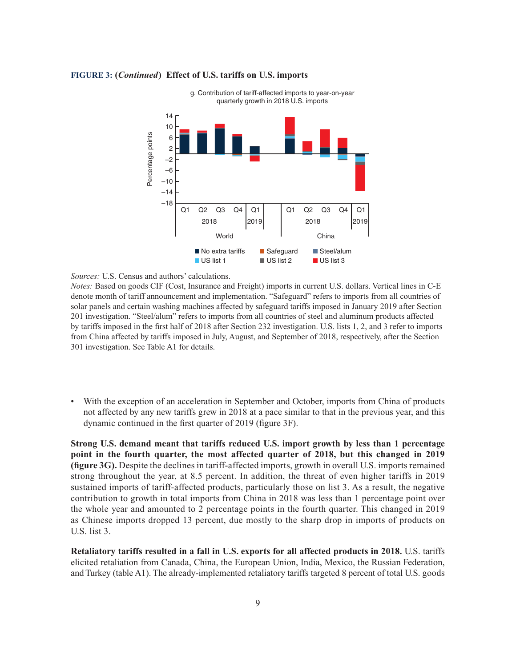

#### **FIGURE 3: (***Continued***) Effect of U.S. tariffs on U.S. imports**

*Sources:* U.S. Census and authors' calculations.

*Notes:* Based on goods CIF (Cost, Insurance and Freight) imports in current U.S. dollars. Vertical lines in C-E denote month of tariff announcement and implementation. "Safeguard" refers to imports from all countries of solar panels and certain washing machines affected by safeguard tariffs imposed in January 2019 after Section 201 investigation. "Steel/alum" refers to imports from all countries of steel and aluminum products affected by tariffs imposed in the first half of 2018 after Section 232 investigation. U.S. lists 1, 2, and 3 refer to imports from China affected by tariffs imposed in July, August, and September of 2018, respectively, after the Section 301 investigation. See Table A1 for details.

• With the exception of an acceleration in September and October, imports from China of products not affected by any new tariffs grew in 2018 at a pace similar to that in the previous year, and this dynamic continued in the first quarter of 2019 (figure 3F).

**Strong U.S. demand meant that tariffs reduced U.S. import growth by less than 1 percentage point in the fourth quarter, the most affected quarter of 2018, but this changed in 2019 (figure 3G).** Despite the declines in tariff-affected imports, growth in overall U.S. imports remained strong throughout the year, at 8.5 percent. In addition, the threat of even higher tariffs in 2019 sustained imports of tariff-affected products, particularly those on list 3. As a result, the negative contribution to growth in total imports from China in 2018 was less than 1 percentage point over the whole year and amounted to 2 percentage points in the fourth quarter. This changed in 2019 as Chinese imports dropped 13 percent, due mostly to the sharp drop in imports of products on U.S. list 3.

**Retaliatory tariffs resulted in a fall in U.S. exports for all affected products in 2018.** U.S. tariffs elicited retaliation from Canada, China, the European Union, India, Mexico, the Russian Federation, and Turkey (table A1). The already-implemented retaliatory tariffs targeted 8 percent of total U.S. goods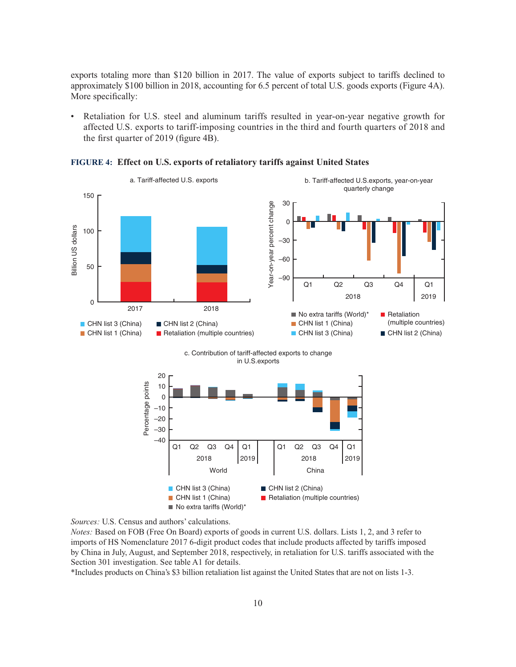exports totaling more than \$120 billion in 2017. The value of exports subject to tariffs declined to approximately \$100 billion in 2018, accounting for 6.5 percent of total U.S. goods exports (Figure 4A). More specifically:

• Retaliation for U.S. steel and aluminum tariffs resulted in year-on-year negative growth for affected U.S. exports to tariff-imposing countries in the third and fourth quarters of 2018 and the first quarter of 2019 (figure 4B).







*Notes:* Based on FOB (Free On Board) exports of goods in current U.S. dollars. Lists 1, 2, and 3 refer to imports of HS Nomenclature 2017 6-digit product codes that include products affected by tariffs imposed by China in July, August, and September 2018, respectively, in retaliation for U.S. tariffs associated with the Section 301 investigation. See table A1 for details.

\*Includes products on China's \$3 billion retaliation list against the United States that are not on lists 1-3.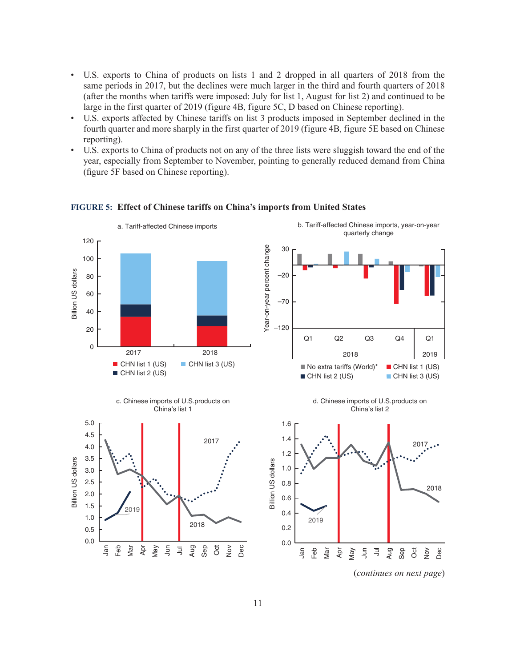- U.S. exports to China of products on lists 1 and 2 dropped in all quarters of 2018 from the same periods in 2017, but the declines were much larger in the third and fourth quarters of 2018 (after the months when tariffs were imposed: July for list 1, August for list 2) and continued to be large in the first quarter of 2019 (figure 4B, figure 5C, D based on Chinese reporting).
- U.S. exports affected by Chinese tariffs on list 3 products imposed in September declined in the fourth quarter and more sharply in the first quarter of 2019 (figure 4B, figure 5E based on Chinese reporting).
- U.S. exports to China of products not on any of the three lists were sluggish toward the end of the year, especially from September to November, pointing to generally reduced demand from China (figure 5F based on Chinese reporting).



#### **FIGURE 5: Effect of Chinese tariffs on China's imports from United States**

(*continues on next page*)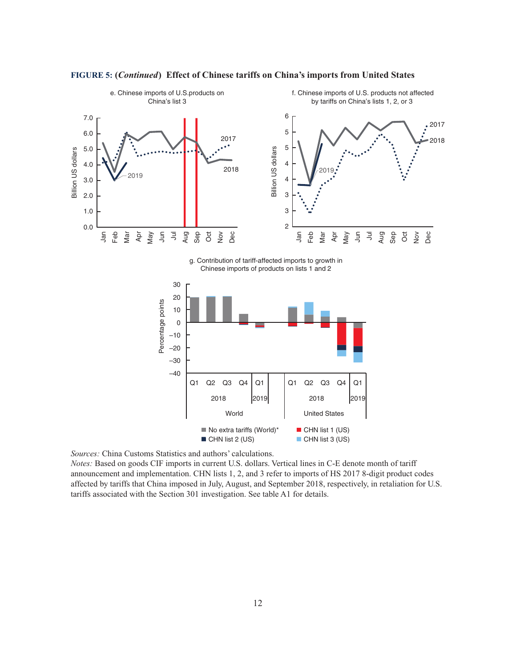



*Sources:* China Customs Statistics and authors' calculations.

*Notes:* Based on goods CIF imports in current U.S. dollars. Vertical lines in C-E denote month of tariff announcement and implementation. CHN lists 1, 2, and 3 refer to imports of HS 2017 8-digit product codes affected by tariffs that China imposed in July, August, and September 2018, respectively, in retaliation for U.S. tariffs associated with the Section 301 investigation. See table A1 for details.

World **United States** 

 $\blacksquare$  No extra tariffs (World)\*  $\blacksquare$  CHN list 1 (US)  $\blacksquare$  CHN list 2 (US)  $\blacksquare$  CHN list 3 (US)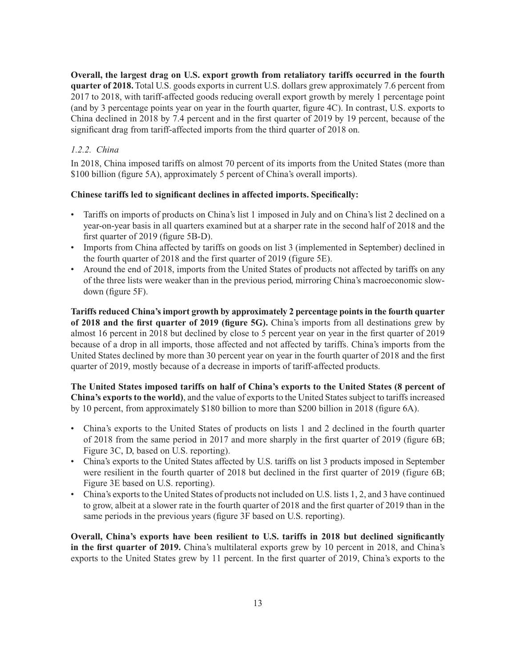**Overall, the largest drag on U.S. export growth from retaliatory tariffs occurred in the fourth quarter of 2018.** Total U.S. goods exports in current U.S. dollars grew approximately 7.6 percent from 2017 to 2018, with tariff-affected goods reducing overall export growth by merely 1 percentage point (and by 3 percentage points year on year in the fourth quarter, figure 4C). In contrast, U.S. exports to China declined in 2018 by 7.4 percent and in the first quarter of 2019 by 19 percent, because of the significant drag from tariff-affected imports from the third quarter of 2018 on.

#### *1.2.2. China*

In 2018, China imposed tariffs on almost 70 percent of its imports from the United States (more than \$100 billion (figure 5A), approximately 5 percent of China's overall imports).

#### **Chinese tariffs led to significant declines in affected imports. Specifically:**

- Tariffs on imports of products on China's list 1 imposed in July and on China's list 2 declined on a year-on-year basis in all quarters examined but at a sharper rate in the second half of 2018 and the first quarter of 2019 (figure 5B-D).
- Imports from China affected by tariffs on goods on list 3 (implemented in September) declined in the fourth quarter of 2018 and the first quarter of 2019 (figure 5E).
- Around the end of 2018, imports from the United States of products not affected by tariffs on any of the three lists were weaker than in the previous period, mirroring China's macroeconomic slowdown (figure 5F).

**Tariffs reduced China's import growth by approximately 2 percentage points in the fourth quarter of 2018 and the first quarter of 2019 (figure 5G).** China's imports from all destinations grew by almost 16 percent in 2018 but declined by close to 5 percent year on year in the first quarter of 2019 because of a drop in all imports, those affected and not affected by tariffs. China's imports from the United States declined by more than 30 percent year on year in the fourth quarter of 2018 and the first quarter of 2019, mostly because of a decrease in imports of tariff-affected products.

**The United States imposed tariffs on half of China's exports to the United States (8 percent of China's exports to the world)**, and the value of exports to the United States subject to tariffs increased by 10 percent, from approximately \$180 billion to more than \$200 billion in 2018 (figure 6A).

- China's exports to the United States of products on lists 1 and 2 declined in the fourth quarter of 2018 from the same period in 2017 and more sharply in the first quarter of 2019 (figure 6B; Figure 3C, D, based on U.S. reporting).
- China's exports to the United States affected by U.S. tariffs on list 3 products imposed in September were resilient in the fourth quarter of 2018 but declined in the first quarter of 2019 (figure 6B; Figure 3E based on U.S. reporting).
- China's exports to the United States of products not included on U.S. lists 1, 2, and 3 have continued to grow, albeit at a slower rate in the fourth quarter of 2018 and the first quarter of 2019 than in the same periods in the previous years (figure 3F based on U.S. reporting).

**Overall, China's exports have been resilient to U.S. tariffs in 2018 but declined significantly in the first quarter of 2019.** China's multilateral exports grew by 10 percent in 2018, and China's exports to the United States grew by 11 percent. In the first quarter of 2019, China's exports to the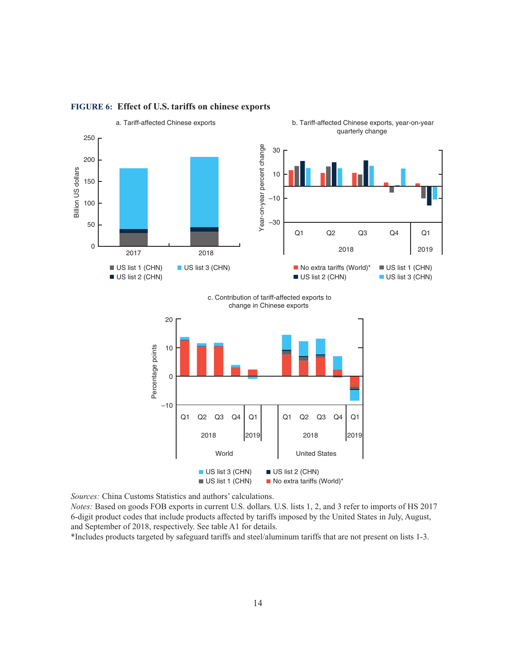

#### **FIGURE 6: Effect of U.S. tariffs on chinese exports**

*Sources:* China Customs Statistics and authors' calculations.

*Notes:* Based on goods FOB exports in current U.S. dollars. U.S. lists 1, 2, and 3 refer to imports of HS 2017 6-digit product codes that include products affected by tariffs imposed by the United States in July, August, and September of 2018, respectively. See table A1 for details.

\*Includes products targeted by safeguard tariffs and steel/aluminum tariffs that are not present on lists 1-3.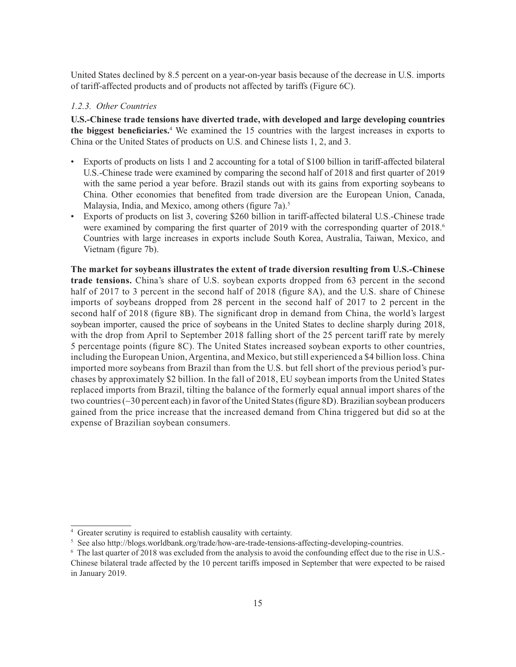United States declined by 8.5 percent on a year-on-year basis because of the decrease in U.S. imports of tariff-affected products and of products not affected by tariffs (Figure 6C).

#### *1.2.3. Other Countries*

**U.S.-Chinese trade tensions have diverted trade, with developed and large developing countries the biggest beneficiaries.**<sup>4</sup> We examined the 15 countries with the largest increases in exports to China or the United States of products on U.S. and Chinese lists 1, 2, and 3.

- Exports of products on lists 1 and 2 accounting for a total of \$100 billion in tariff-affected bilateral U.S.-Chinese trade were examined by comparing the second half of 2018 and first quarter of 2019 with the same period a year before. Brazil stands out with its gains from exporting soybeans to China. Other economies that benefited from trade diversion are the European Union, Canada, Malaysia, India, and Mexico, among others (figure 7a).<sup>5</sup>
- Exports of products on list 3, covering \$260 billion in tariff-affected bilateral U.S.-Chinese trade were examined by comparing the first quarter of 2019 with the corresponding quarter of 2018.<sup>6</sup> Countries with large increases in exports include South Korea, Australia, Taiwan, Mexico, and Vietnam (figure 7b).

**The market for soybeans illustrates the extent of trade diversion resulting from U.S.-Chinese trade tensions.** China's share of U.S. soybean exports dropped from 63 percent in the second half of 2017 to 3 percent in the second half of 2018 (figure 8A), and the U.S. share of Chinese imports of soybeans dropped from 28 percent in the second half of 2017 to 2 percent in the second half of 2018 (figure 8B). The significant drop in demand from China, the world's largest soybean importer, caused the price of soybeans in the United States to decline sharply during 2018, with the drop from April to September 2018 falling short of the 25 percent tariff rate by merely 5 percentage points (figure 8C). The United States increased soybean exports to other countries, including the European Union, Argentina, and Mexico, but still experienced a \$4 billion loss. China imported more soybeans from Brazil than from the U.S. but fell short of the previous period's purchases by approximately \$2 billion. In the fall of 2018, EU soybean imports from the United States replaced imports from Brazil, tilting the balance of the formerly equal annual import shares of the two countries (∼30 percent each) in favor of the United States (figure 8D). Brazilian soybean producers gained from the price increase that the increased demand from China triggered but did so at the expense of Brazilian soybean consumers.

<sup>4</sup> Greater scrutiny is required to establish causality with certainty.

<sup>5</sup> See also http://blogs.worldbank.org/trade/how-are-trade-tensions-affecting-developing-countries.

<sup>6</sup> The last quarter of 2018 was excluded from the analysis to avoid the confounding effect due to the rise in U.S.- Chinese bilateral trade affected by the 10 percent tariffs imposed in September that were expected to be raised in January 2019.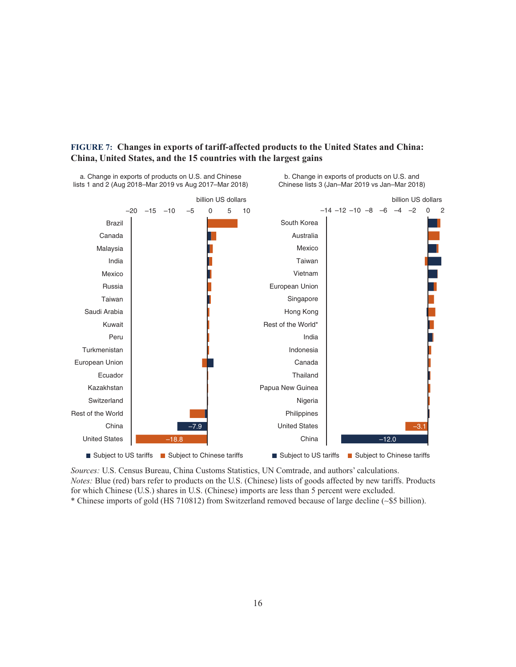

#### **FIGURE 7: Changes in exports of tariff-affected products to the United States and China: China, United States, and the 15 countries with the largest gains**

*Sources:* U.S. Census Bureau, China Customs Statistics, UN Comtrade, and authors' calculations. *Notes:* Blue (red) bars refer to products on the U.S. (Chinese) lists of goods affected by new tariffs. Products for which Chinese (U.S.) shares in U.S. (Chinese) imports are less than 5 percent were excluded. \* Chinese imports of gold (HS 710812) from Switzerland removed because of large decline (∼\$5 billion).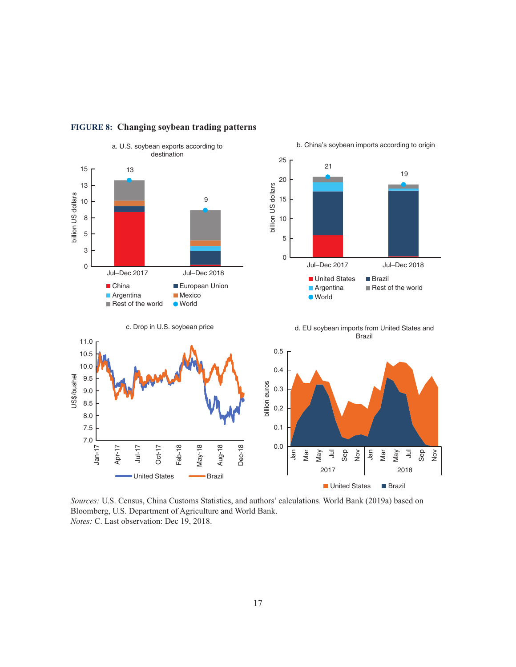

#### **FIGURE 8: Changing soybean trading patterns**

*Sources:* U.S. Census, China Customs Statistics, and authors' calculations. World Bank (2019a) based on Bloomberg, U.S. Department of Agriculture and World Bank. *Notes:* C. Last observation: Dec 19, 2018.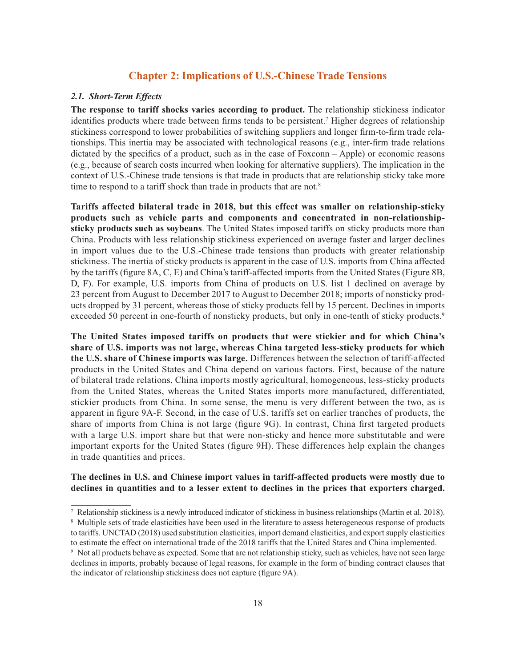#### **Chapter 2: Implications of U.S.-Chinese Trade Tensions**

#### *2.1. Short-Term Effects*

**The response to tariff shocks varies according to product.** The relationship stickiness indicator identifies products where trade between firms tends to be persistent.<sup>7</sup> Higher degrees of relationship stickiness correspond to lower probabilities of switching suppliers and longer firm-to-firm trade relationships. This inertia may be associated with technological reasons (e.g., inter-firm trade relations dictated by the specifics of a product, such as in the case of Foxconn – Apple) or economic reasons (e.g., because of search costs incurred when looking for alternative suppliers). The implication in the context of U.S.-Chinese trade tensions is that trade in products that are relationship sticky take more time to respond to a tariff shock than trade in products that are not.<sup>8</sup>

**Tariffs affected bilateral trade in 2018, but this effect was smaller on relationship-sticky products such as vehicle parts and components and concentrated in non-relationshipsticky products such as soybeans**. The United States imposed tariffs on sticky products more than China. Products with less relationship stickiness experienced on average faster and larger declines in import values due to the U.S.-Chinese trade tensions than products with greater relationship stickiness. The inertia of sticky products is apparent in the case of U.S. imports from China affected by the tariffs (figure 8A, C, E) and China's tariff-affected imports from the United States (Figure 8B, D, F). For example, U.S. imports from China of products on U.S. list 1 declined on average by 23 percent from August to December 2017 to August to December 2018; imports of nonsticky products dropped by 31 percent, whereas those of sticky products fell by 15 percent. Declines in imports exceeded 50 percent in one-fourth of nonsticky products, but only in one-tenth of sticky products.<sup>9</sup>

**The United States imposed tariffs on products that were stickier and for which China's share of U.S. imports was not large, whereas China targeted less-sticky products for which the U.S. share of Chinese imports was large.** Differences between the selection of tariff-affected products in the United States and China depend on various factors. First, because of the nature of bilateral trade relations, China imports mostly agricultural, homogeneous, less-sticky products from the United States, whereas the United States imports more manufactured, differentiated, stickier products from China. In some sense, the menu is very different between the two, as is apparent in figure 9A-F. Second, in the case of U.S. tariffs set on earlier tranches of products, the share of imports from China is not large (figure 9G). In contrast, China first targeted products with a large U.S. import share but that were non-sticky and hence more substitutable and were important exports for the United States (figure 9H). These differences help explain the changes in trade quantities and prices.

#### **The declines in U.S. and Chinese import values in tariff-affected products were mostly due to declines in quantities and to a lesser extent to declines in the prices that exporters charged.**

<sup>7</sup> Relationship stickiness is a newly introduced indicator of stickiness in business relationships (Martin et al. 2018).

<sup>&</sup>lt;sup>8</sup> Multiple sets of trade elasticities have been used in the literature to assess heterogeneous response of products to tariffs. UNCTAD (2018) used substitution elasticities, import demand elasticities, and export supply elasticities to estimate the effect on international trade of the 2018 tariffs that the United States and China implemented.

<sup>9</sup> Not all products behave as expected. Some that are not relationship sticky, such as vehicles, have not seen large declines in imports, probably because of legal reasons, for example in the form of binding contract clauses that the indicator of relationship stickiness does not capture (figure 9A).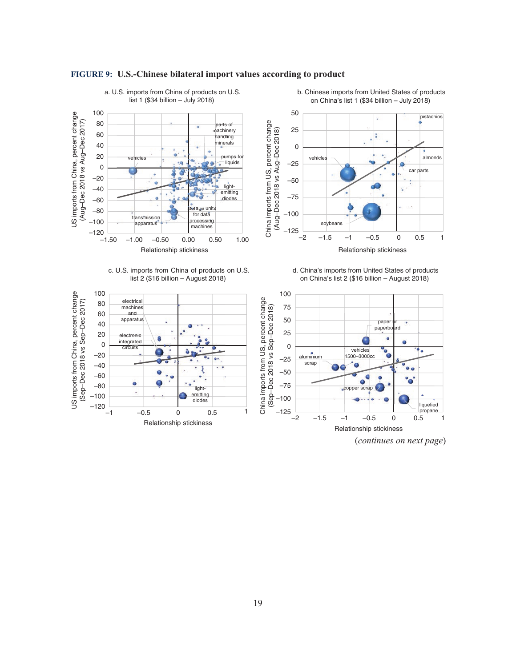

#### **FIGURE 9: U.S.-Chinese bilateral import values according to product**

(*continues on next page*)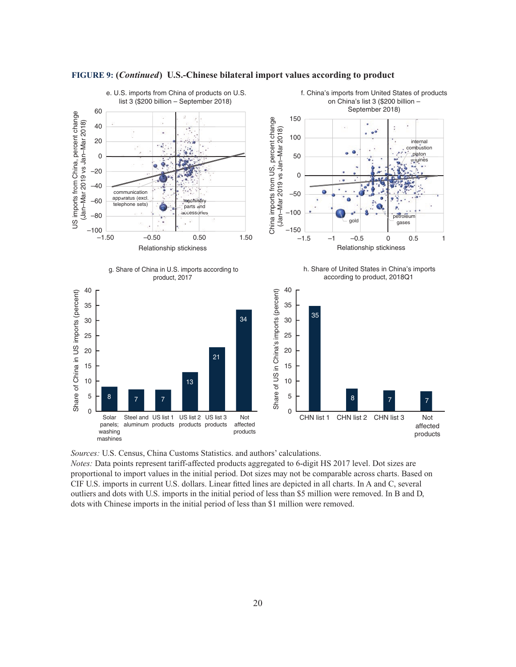

*Sources:* U.S. Census, China Customs Statistics. and authors' calculations.

*Notes:* Data points represent tariff-affected products aggregated to 6-digit HS 2017 level. Dot sizes are proportional to import values in the initial period. Dot sizes may not be comparable across charts. Based on CIF U.S. imports in current U.S. dollars. Linear fitted lines are depicted in all charts. In A and C, several outliers and dots with U.S. imports in the initial period of less than \$5 million were removed. In B and D, dots with Chinese imports in the initial period of less than \$1 million were removed.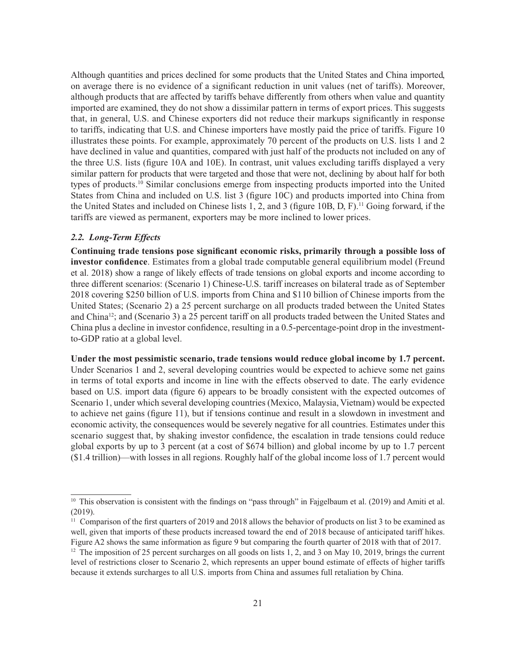Although quantities and prices declined for some products that the United States and China imported, on average there is no evidence of a significant reduction in unit values (net of tariffs). Moreover, although products that are affected by tariffs behave differently from others when value and quantity imported are examined, they do not show a dissimilar pattern in terms of export prices. This suggests that, in general, U.S. and Chinese exporters did not reduce their markups significantly in response to tariffs, indicating that U.S. and Chinese importers have mostly paid the price of tariffs. Figure 10 illustrates these points. For example, approximately 70 percent of the products on U.S. lists 1 and 2 have declined in value and quantities, compared with just half of the products not included on any of the three U.S. lists (figure 10A and 10E). In contrast, unit values excluding tariffs displayed a very similar pattern for products that were targeted and those that were not, declining by about half for both types of products.10 Similar conclusions emerge from inspecting products imported into the United States from China and included on U.S. list 3 (figure 10C) and products imported into China from the United States and included on Chinese lists 1, 2, and 3 (figure 10B, D, F).11 Going forward, if the tariffs are viewed as permanent, exporters may be more inclined to lower prices.

#### *2.2. Long-Term Effects*

**Continuing trade tensions pose significant economic risks, primarily through a possible loss of investor confidence**. Estimates from a global trade computable general equilibrium model (Freund et al. 2018) show a range of likely effects of trade tensions on global exports and income according to three different scenarios: (Scenario 1) Chinese-U.S. tariff increases on bilateral trade as of September 2018 covering \$250 billion of U.S. imports from China and \$110 billion of Chinese imports from the United States; (Scenario 2) a 25 percent surcharge on all products traded between the United States and China12; and (Scenario 3) a 25 percent tariff on all products traded between the United States and China plus a decline in investor confidence, resulting in a 0.5-percentage-point drop in the investmentto-GDP ratio at a global level.

**Under the most pessimistic scenario, trade tensions would reduce global income by 1.7 percent.** Under Scenarios 1 and 2, several developing countries would be expected to achieve some net gains in terms of total exports and income in line with the effects observed to date. The early evidence based on U.S. import data (figure 6) appears to be broadly consistent with the expected outcomes of Scenario 1, under which several developing countries (Mexico, Malaysia, Vietnam) would be expected to achieve net gains (figure 11), but if tensions continue and result in a slowdown in investment and economic activity, the consequences would be severely negative for all countries. Estimates under this scenario suggest that, by shaking investor confidence, the escalation in trade tensions could reduce global exports by up to 3 percent (at a cost of \$674 billion) and global income by up to 1.7 percent (\$1.4 trillion)—with losses in all regions. Roughly half of the global income loss of 1.7 percent would

<sup>&</sup>lt;sup>10</sup> This observation is consistent with the findings on "pass through" in Fajgelbaum et al. (2019) and Amiti et al. (2019).

<sup>&</sup>lt;sup>11</sup> Comparison of the first quarters of 2019 and 2018 allows the behavior of products on list 3 to be examined as well, given that imports of these products increased toward the end of 2018 because of anticipated tariff hikes. Figure A2 shows the same information as figure 9 but comparing the fourth quarter of 2018 with that of 2017.

<sup>&</sup>lt;sup>12</sup> The imposition of 25 percent surcharges on all goods on lists 1, 2, and 3 on May 10, 2019, brings the current level of restrictions closer to Scenario 2, which represents an upper bound estimate of effects of higher tariffs because it extends surcharges to all U.S. imports from China and assumes full retaliation by China.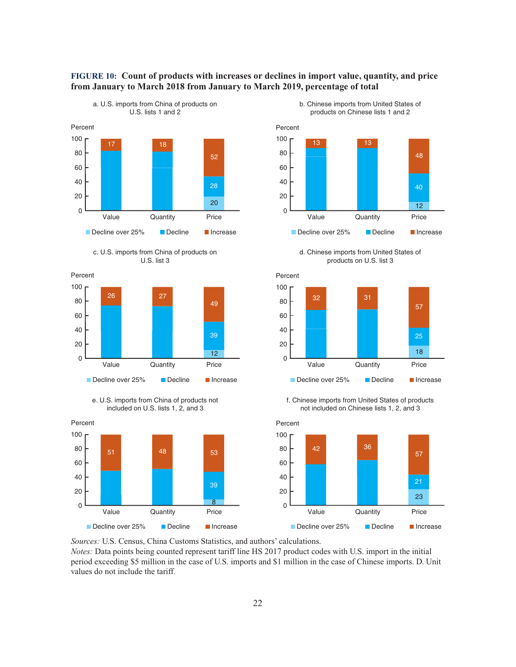

#### c. U.S. imports from China of products on U.S. list 3











d. Chinese imports from United States of products on U.S. list 3



f. Chinese imports from United States of products not included on Chinese lists 1, 2, and 3



*Sources:* U.S. Census, China Customs Statistics, and authors' calculations.

*Notes:* Data points being counted represent tariff line HS 2017 product codes with U.S. import in the initial period exceeding \$5 million in the case of U.S. imports and \$1 million in the case of Chinese imports. D. Unit values do not include the tariff.

**FIGURE 10: Count of products with increases or declines in import value, quantity, and price** 

**from January to March 2018 from January to March 2019, percentage of total**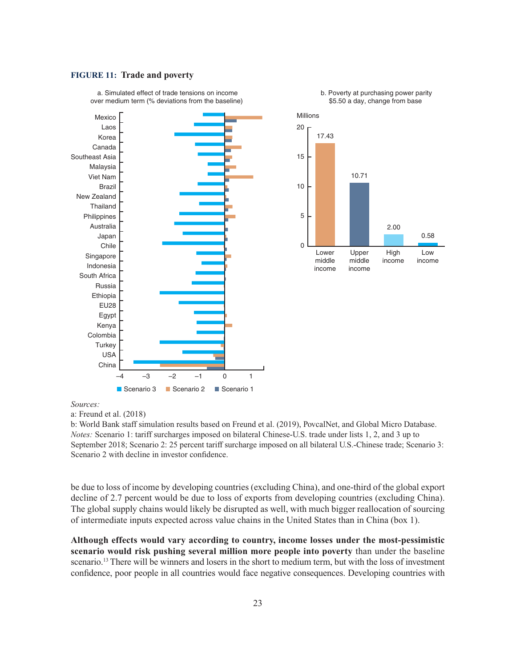#### **FIGURE 11: Trade and poverty**



b. Poverty at purchasing power parity

a. Simulated effect of trade tensions on income

#### *Sources:*

a: Freund et al. (2018)

b: World Bank staff simulation results based on Freund et al. (2019), PovcalNet, and Global Micro Database. *Notes:* Scenario 1: tariff surcharges imposed on bilateral Chinese-U.S. trade under lists 1, 2, and 3 up to September 2018; Scenario 2: 25 percent tariff surcharge imposed on all bilateral U.S.-Chinese trade; Scenario 3: Scenario 2 with decline in investor confidence.

be due to loss of income by developing countries (excluding China), and one-third of the global export decline of 2.7 percent would be due to loss of exports from developing countries (excluding China). The global supply chains would likely be disrupted as well, with much bigger reallocation of sourcing of intermediate inputs expected across value chains in the United States than in China (box 1).

**Although effects would vary according to country, income losses under the most-pessimistic scenario would risk pushing several million more people into poverty** than under the baseline scenario.13 There will be winners and losers in the short to medium term, but with the loss of investment confidence, poor people in all countries would face negative consequences. Developing countries with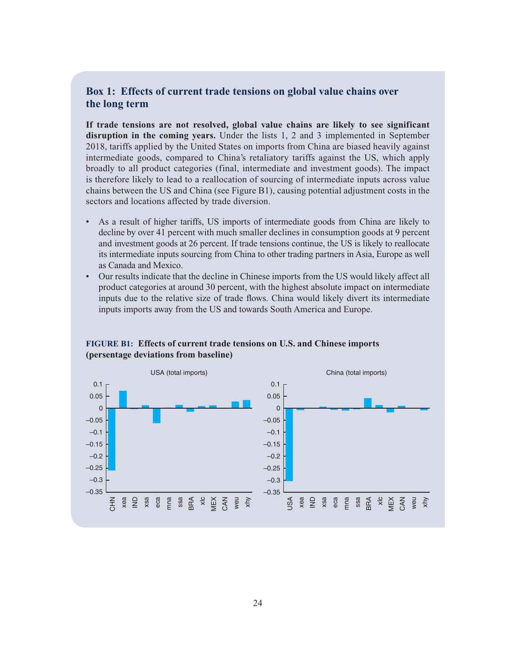#### **Box 1: Effects of current trade tensions on global value chains over the long term**

**If trade tensions are not resolved, global value chains are likely to see significant disruption in the coming years.** Under the lists 1, 2 and 3 implemented in September 2018, tariffs applied by the United States on imports from China are biased heavily against intermediate goods, compared to China's retaliatory tariffs against the US, which apply broadly to all product categories (final, intermediate and investment goods). The impact is therefore likely to lead to a reallocation of sourcing of intermediate inputs across value chains between the US and China (see Figure B1), causing potential adjustment costs in the sectors and locations affected by trade diversion.

- As a result of higher tariffs, US imports of intermediate goods from China are likely to decline by over 41 percent with much smaller declines in consumption goods at 9 percent and investment goods at 26 percent. If trade tensions continue, the US is likely to reallocate its intermediate inputs sourcing from China to other trading partners in Asia, Europe as well as Canada and Mexico.
- Our results indicate that the decline in Chinese imports from the US would likely affect all product categories at around 30 percent, with the highest absolute impact on intermediate inputs due to the relative size of trade flows. China would likely divert its intermediate inputs imports away from the US and towards South America and Europe.



#### **FIGURE B1: Effects of current trade tensions on U.S. and Chinese imports (persentage deviations from baseline)**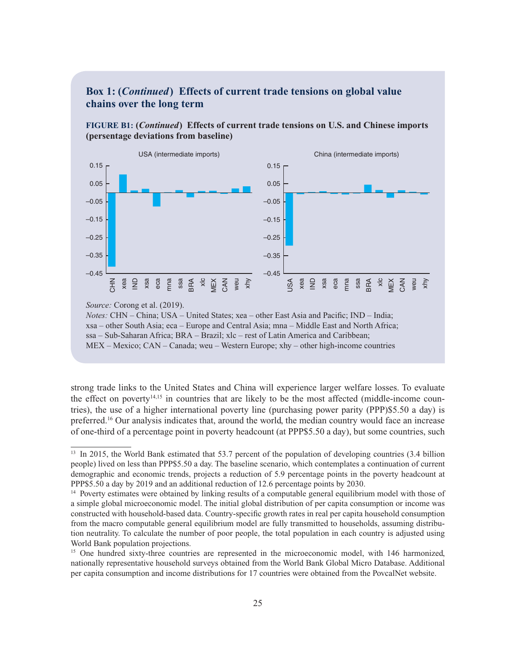#### **Box 1: (***Continued***) Effects of current trade tensions on global value chains over the long term**





*Source:* Corong et al. (2019).

strong trade links to the United States and China will experience larger welfare losses. To evaluate the effect on poverty<sup>14,15</sup> in countries that are likely to be the most affected (middle-income countries), the use of a higher international poverty line (purchasing power parity (PPP)\$5.50 a day) is preferred.16 Our analysis indicates that, around the world, the median country would face an increase of one-third of a percentage point in poverty headcount (at PPP\$5.50 a day), but some countries, such

*Notes:* CHN – China; USA – United States; xea – other East Asia and Pacific; IND – India; xsa – other South Asia; eca – Europe and Central Asia; mna – Middle East and North Africa; ssa – Sub-Saharan Africa; BRA – Brazil; xlc – rest of Latin America and Caribbean; MEX – Mexico; CAN – Canada; weu – Western Europe; xhy – other high-income countries

<sup>&</sup>lt;sup>13</sup> In 2015, the World Bank estimated that 53.7 percent of the population of developing countries (3.4 billion people) lived on less than PPP\$5.50 a day. The baseline scenario, which contemplates a continuation of current demographic and economic trends, projects a reduction of 5.9 percentage points in the poverty headcount at PPP\$5.50 a day by 2019 and an additional reduction of 12.6 percentage points by 2030.

<sup>&</sup>lt;sup>14</sup> Poverty estimates were obtained by linking results of a computable general equilibrium model with those of a simple global microeconomic model. The initial global distribution of per capita consumption or income was constructed with household-based data. Country-specific growth rates in real per capita household consumption from the macro computable general equilibrium model are fully transmitted to households, assuming distribution neutrality. To calculate the number of poor people, the total population in each country is adjusted using World Bank population projections.

<sup>&</sup>lt;sup>15</sup> One hundred sixty-three countries are represented in the microeconomic model, with 146 harmonized, nationally representative household surveys obtained from the World Bank Global Micro Database. Additional per capita consumption and income distributions for 17 countries were obtained from the PovcalNet website.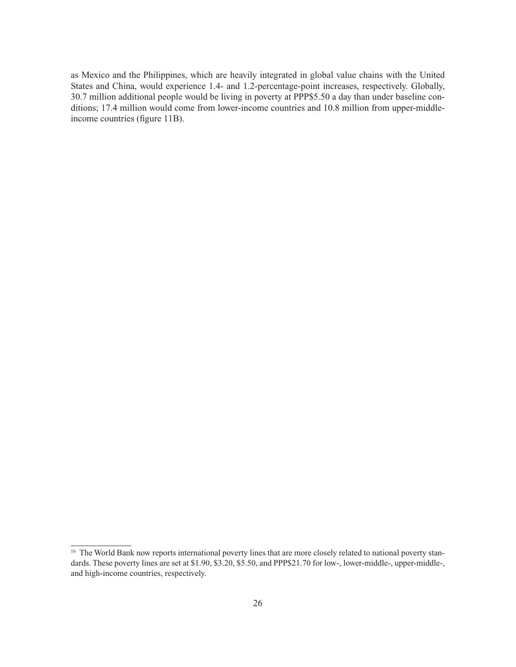as Mexico and the Philippines, which are heavily integrated in global value chains with the United States and China, would experience 1.4- and 1.2-percentage-point increases, respectively. Globally, 30.7 million additional people would be living in poverty at PPP\$5.50 a day than under baseline conditions; 17.4 million would come from lower-income countries and 10.8 million from upper-middleincome countries (figure 11B).

<sup>&</sup>lt;sup>16</sup> The World Bank now reports international poverty lines that are more closely related to national poverty standards. These poverty lines are set at \$1.90, \$3.20, \$5.50, and PPP\$21.70 for low-, lower-middle-, upper-middle-, and high-income countries, respectively.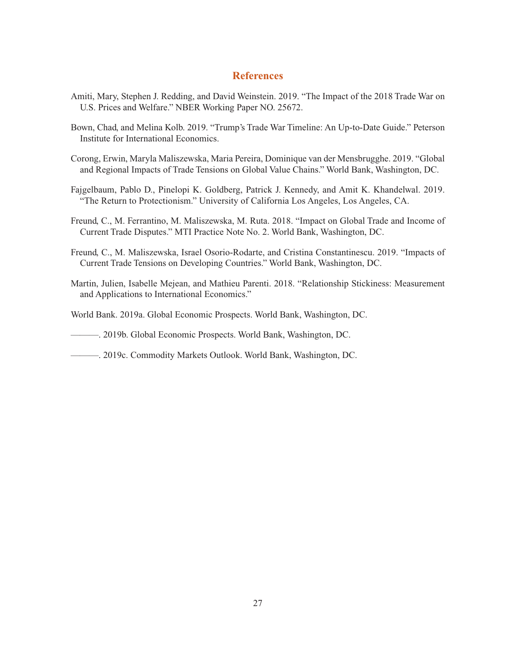#### **References**

- Amiti, Mary, Stephen J. Redding, and David Weinstein. 2019. "The Impact of the 2018 Trade War on U.S. Prices and Welfare." NBER Working Paper NO. 25672.
- Bown, Chad, and Melina Kolb. 2019. "Trump's Trade War Timeline: An Up-to-Date Guide." Peterson Institute for International Economics.
- Corong, Erwin, Maryla Maliszewska, Maria Pereira, Dominique van der Mensbrugghe. 2019. "Global and Regional Impacts of Trade Tensions on Global Value Chains." World Bank, Washington, DC.
- Fajgelbaum, Pablo D., Pinelopi K. Goldberg, Patrick J. Kennedy, and Amit K. Khandelwal. 2019. "The Return to Protectionism." University of California Los Angeles, Los Angeles, CA.
- Freund, C., M. Ferrantino, M. Maliszewska, M. Ruta. 2018. "Impact on Global Trade and Income of Current Trade Disputes." MTI Practice Note No. 2. World Bank, Washington, DC.
- Freund, C., M. Maliszewska, Israel Osorio-Rodarte, and Cristina Constantinescu. 2019. "Impacts of Current Trade Tensions on Developing Countries." World Bank, Washington, DC.
- Martin, Julien, Isabelle Mejean, and Mathieu Parenti. 2018. "Relationship Stickiness: Measurement and Applications to International Economics."
- World Bank. 2019a. Global Economic Prospects. World Bank, Washington, DC.

———. 2019b. Global Economic Prospects. World Bank, Washington, DC.

———. 2019c. Commodity Markets Outlook. World Bank, Washington, DC.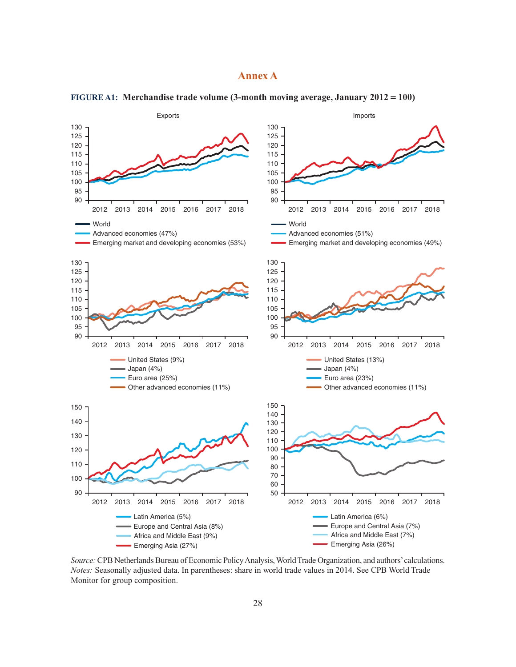#### **Annex A**



**FIGURE A1: Merchandise trade volume (3-month moving average, January 2012 = 100)**

*Source:* CPB Netherlands Bureau of Economic Policy Analysis, World Trade Organization, and authors' calculations. *Notes:* Seasonally adjusted data. In parentheses: share in world trade values in 2014. See CPB World Trade Monitor for group composition.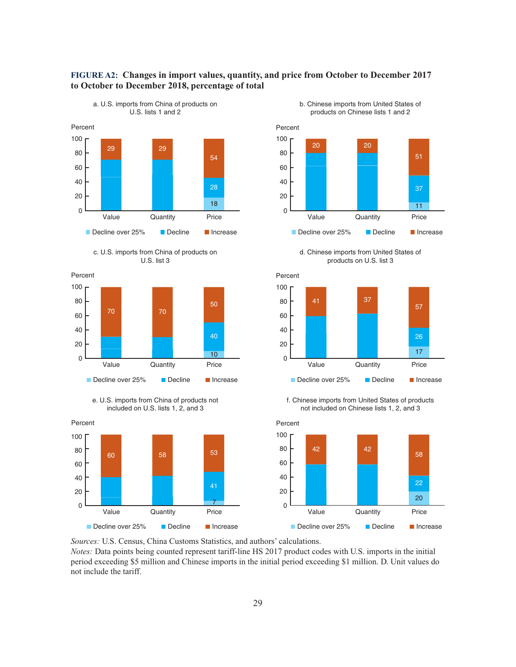











d. Chinese imports from United States of products on U.S. list 3



f. Chinese imports from United States of products not included on Chinese lists 1, 2, and 3



*Sources:* U.S. Census, China Customs Statistics, and authors' calculations. *Notes:* Data points being counted represent tariff-line HS 2017 product codes with U.S. imports in the initial

period exceeding \$5 million and Chinese imports in the initial period exceeding \$1 million. D. Unit values do not include the tariff.

**FIGURE A2: Changes in import values, quantity, and price from October to December 2017**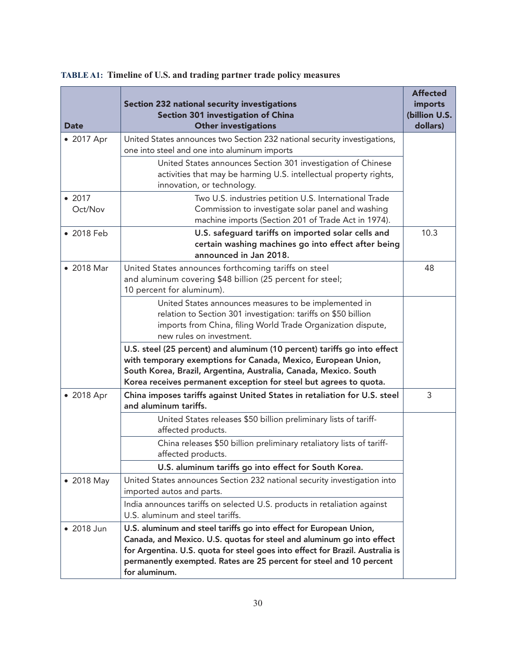|                   | <b>Section 232 national security investigations</b>                                                                                                                                                                                                                                                                  | <b>Affected</b><br>imports |
|-------------------|----------------------------------------------------------------------------------------------------------------------------------------------------------------------------------------------------------------------------------------------------------------------------------------------------------------------|----------------------------|
| <b>Date</b>       | Section 301 investigation of China<br><b>Other investigations</b>                                                                                                                                                                                                                                                    | (billion U.S.<br>dollars)  |
| • 2017 Apr        | United States announces two Section 232 national security investigations,<br>one into steel and one into aluminum imports<br>United States announces Section 301 investigation of Chinese<br>activities that may be harming U.S. intellectual property rights,<br>innovation, or technology.                         |                            |
| • 2017<br>Oct/Nov | Two U.S. industries petition U.S. International Trade<br>Commission to investigate solar panel and washing<br>machine imports (Section 201 of Trade Act in 1974).                                                                                                                                                    |                            |
| • 2018 Feb        | U.S. safeguard tariffs on imported solar cells and<br>certain washing machines go into effect after being<br>announced in Jan 2018.                                                                                                                                                                                  | 10.3                       |
| • 2018 Mar        | United States announces forthcoming tariffs on steel<br>and aluminum covering \$48 billion (25 percent for steel;<br>10 percent for aluminum).                                                                                                                                                                       | 48                         |
|                   | United States announces measures to be implemented in<br>relation to Section 301 investigation: tariffs on \$50 billion<br>imports from China, filing World Trade Organization dispute,<br>new rules on investment.                                                                                                  |                            |
|                   | U.S. steel (25 percent) and aluminum (10 percent) tariffs go into effect<br>with temporary exemptions for Canada, Mexico, European Union,<br>South Korea, Brazil, Argentina, Australia, Canada, Mexico. South<br>Korea receives permanent exception for steel but agrees to quota.                                   |                            |
| • 2018 Apr        | China imposes tariffs against United States in retaliation for U.S. steel<br>and aluminum tariffs.                                                                                                                                                                                                                   | 3                          |
|                   | United States releases \$50 billion preliminary lists of tariff-<br>affected products.                                                                                                                                                                                                                               |                            |
|                   | China releases \$50 billion preliminary retaliatory lists of tariff-<br>affected products.                                                                                                                                                                                                                           |                            |
|                   | U.S. aluminum tariffs go into effect for South Korea.                                                                                                                                                                                                                                                                |                            |
| • 2018 May        | United States announces Section 232 national security investigation into<br>imported autos and parts.                                                                                                                                                                                                                |                            |
|                   | India announces tariffs on selected U.S. products in retaliation against<br>U.S. aluminum and steel tariffs.                                                                                                                                                                                                         |                            |
| • 2018 Jun        | U.S. aluminum and steel tariffs go into effect for European Union,<br>Canada, and Mexico. U.S. quotas for steel and aluminum go into effect<br>for Argentina. U.S. quota for steel goes into effect for Brazil. Australia is<br>permanently exempted. Rates are 25 percent for steel and 10 percent<br>for aluminum. |                            |

### **TABLE A1: Timeline of U.S. and trading partner trade policy measures**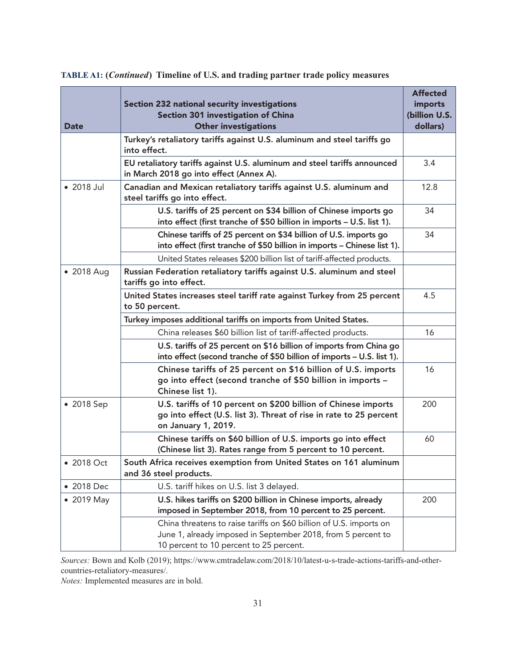| <b>Date</b> | <b>Section 232 national security investigations</b><br>Section 301 investigation of China<br><b>Other investigations</b>                                                       | <b>Affected</b><br>imports<br>(billion U.S.<br>dollars) |  |  |  |
|-------------|--------------------------------------------------------------------------------------------------------------------------------------------------------------------------------|---------------------------------------------------------|--|--|--|
|             | Turkey's retaliatory tariffs against U.S. aluminum and steel tariffs go<br>into effect.                                                                                        |                                                         |  |  |  |
|             | EU retaliatory tariffs against U.S. aluminum and steel tariffs announced<br>in March 2018 go into effect (Annex A).                                                            | 3.4                                                     |  |  |  |
| • 2018 Jul  | Canadian and Mexican retaliatory tariffs against U.S. aluminum and<br>steel tariffs go into effect.                                                                            |                                                         |  |  |  |
|             | U.S. tariffs of 25 percent on \$34 billion of Chinese imports go<br>into effect (first tranche of \$50 billion in imports - U.S. list 1).                                      | 34                                                      |  |  |  |
|             | Chinese tariffs of 25 percent on \$34 billion of U.S. imports go<br>into effect (first tranche of \$50 billion in imports - Chinese list 1).                                   | 34                                                      |  |  |  |
|             | United States releases \$200 billion list of tariff-affected products.                                                                                                         |                                                         |  |  |  |
| • 2018 Aug  | Russian Federation retaliatory tariffs against U.S. aluminum and steel<br>tariffs go into effect.                                                                              |                                                         |  |  |  |
|             | United States increases steel tariff rate against Turkey from 25 percent<br>to 50 percent.                                                                                     | 4.5                                                     |  |  |  |
|             | Turkey imposes additional tariffs on imports from United States.                                                                                                               |                                                         |  |  |  |
|             | China releases \$60 billion list of tariff-affected products.                                                                                                                  | 16                                                      |  |  |  |
|             | U.S. tariffs of 25 percent on \$16 billion of imports from China go<br>into effect (second tranche of \$50 billion of imports - U.S. list 1).                                  |                                                         |  |  |  |
|             | Chinese tariffs of 25 percent on \$16 billion of U.S. imports<br>go into effect (second tranche of \$50 billion in imports -<br>Chinese list 1).                               | 16                                                      |  |  |  |
| • 2018 Sep  | U.S. tariffs of 10 percent on \$200 billion of Chinese imports<br>go into effect (U.S. list 3). Threat of rise in rate to 25 percent<br>on January 1, 2019.                    | 200                                                     |  |  |  |
|             | Chinese tariffs on \$60 billion of U.S. imports go into effect<br>(Chinese list 3). Rates range from 5 percent to 10 percent.                                                  | 60                                                      |  |  |  |
| • 2018 Oct  | South Africa receives exemption from United States on 161 aluminum<br>and 36 steel products.                                                                                   |                                                         |  |  |  |
| • 2018 Dec  | U.S. tariff hikes on U.S. list 3 delayed.                                                                                                                                      |                                                         |  |  |  |
| • 2019 May  | U.S. hikes tariffs on \$200 billion in Chinese imports, already<br>imposed in September 2018, from 10 percent to 25 percent.                                                   | 200                                                     |  |  |  |
|             | China threatens to raise tariffs on \$60 billion of U.S. imports on<br>June 1, already imposed in September 2018, from 5 percent to<br>10 percent to 10 percent to 25 percent. |                                                         |  |  |  |

**TABLE A1: (***Continued***) Timeline of U.S. and trading partner trade policy measures**

*Sources:* Bown and Kolb (2019); https://www.cmtradelaw.com/2018/10/latest-u-s-trade-actions-tariffs-and-othercountries-retaliatory-measures/.

*Notes:* Implemented measures are in bold.